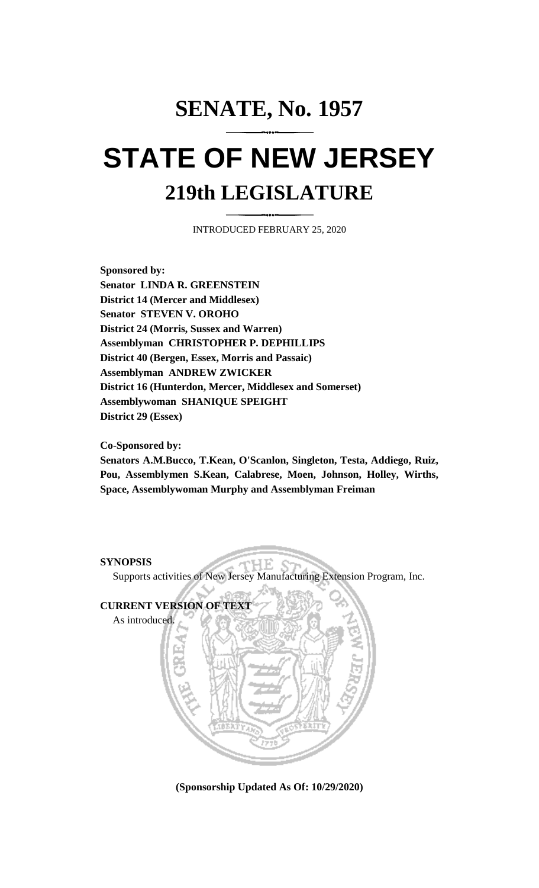# **SENATE, No. 1957 STATE OF NEW JERSEY 219th LEGISLATURE**

INTRODUCED FEBRUARY 25, 2020

**Sponsored by: Senator LINDA R. GREENSTEIN District 14 (Mercer and Middlesex) Senator STEVEN V. OROHO District 24 (Morris, Sussex and Warren) Assemblyman CHRISTOPHER P. DEPHILLIPS District 40 (Bergen, Essex, Morris and Passaic) Assemblyman ANDREW ZWICKER District 16 (Hunterdon, Mercer, Middlesex and Somerset) Assemblywoman SHANIQUE SPEIGHT District 29 (Essex)**

#### **Co-Sponsored by:**

**Senators A.M.Bucco, T.Kean, O'Scanlon, Singleton, Testa, Addiego, Ruiz, Pou, Assemblymen S.Kean, Calabrese, Moen, Johnson, Holley, Wirths, Space, Assemblywoman Murphy and Assemblyman Freiman**

### **SYNOPSIS**

HЕ Supports activities of New Jersey Manufacturing Extension Program, Inc.



**(Sponsorship Updated As Of: 10/29/2020)**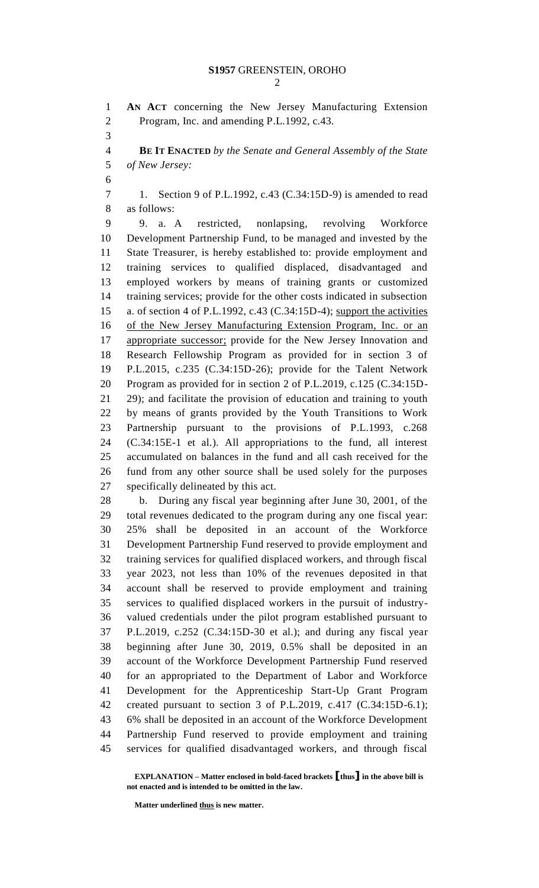**AN ACT** concerning the New Jersey Manufacturing Extension Program, Inc. and amending P.L.1992, c.43. **BE IT ENACTED** *by the Senate and General Assembly of the State of New Jersey:* 1. Section 9 of P.L.1992, c.43 (C.34:15D-9) is amended to read as follows: 9. a. A restricted, nonlapsing, revolving Workforce Development Partnership Fund, to be managed and invested by the State Treasurer, is hereby established to: provide employment and training services to qualified displaced, disadvantaged and employed workers by means of training grants or customized training services; provide for the other costs indicated in subsection a. of section 4 of P.L.1992, c.43 (C.34:15D-4); support the activities of the New Jersey Manufacturing Extension Program, Inc. or an appropriate successor; provide for the New Jersey Innovation and Research Fellowship Program as provided for in section 3 of P.L.2015, c.235 (C.34:15D-26); provide for the Talent Network Program as provided for in section 2 of P.L.2019, c.125 (C.34:15D- 29); and facilitate the provision of education and training to youth by means of grants provided by the Youth Transitions to Work Partnership pursuant to the provisions of P.L.1993, c.268 (C.34:15E-1 et al.). All appropriations to the fund, all interest accumulated on balances in the fund and all cash received for the fund from any other source shall be used solely for the purposes specifically delineated by this act. b. During any fiscal year beginning after June 30, 2001, of the total revenues dedicated to the program during any one fiscal year: 25% shall be deposited in an account of the Workforce Development Partnership Fund reserved to provide employment and training services for qualified displaced workers, and through fiscal year 2023, not less than 10% of the revenues deposited in that account shall be reserved to provide employment and training services to qualified displaced workers in the pursuit of industry- valued credentials under the pilot program established pursuant to P.L.2019, c.252 (C.34:15D-30 et al.); and during any fiscal year beginning after June 30, 2019, 0.5% shall be deposited in an account of the Workforce Development Partnership Fund reserved for an appropriated to the Department of Labor and Workforce Development for the Apprenticeship Start-Up Grant Program created pursuant to section 3 of P.L.2019, c.417 (C.34:15D-6.1); 6% shall be deposited in an account of the Workforce Development Partnership Fund reserved to provide employment and training services for qualified disadvantaged workers, and through fiscal

**Matter underlined thus is new matter.**

**EXPLANATION – Matter enclosed in bold-faced brackets [thus] in the above bill is not enacted and is intended to be omitted in the law.**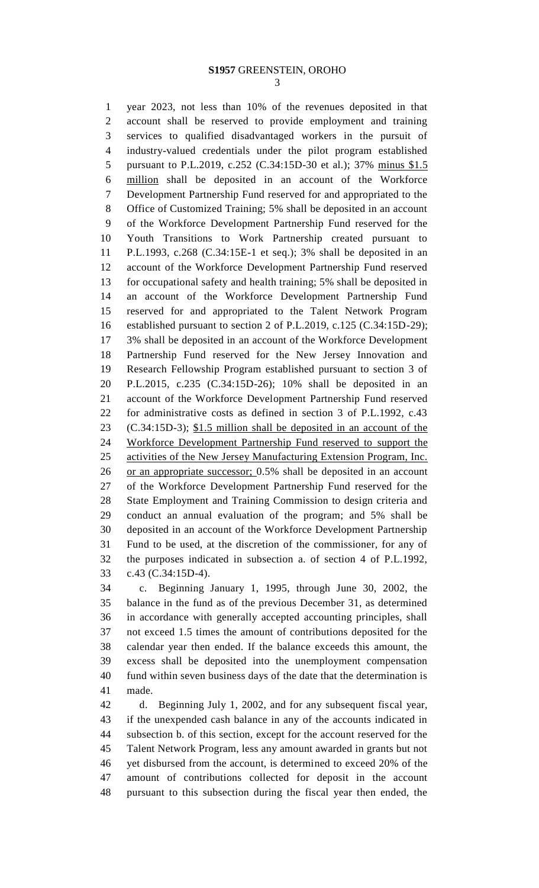#### **S1957** GREENSTEIN, OROHO

 year 2023, not less than 10% of the revenues deposited in that account shall be reserved to provide employment and training services to qualified disadvantaged workers in the pursuit of industry-valued credentials under the pilot program established pursuant to P.L.2019, c.252 (C.34:15D-30 et al.); 37% minus \$1.5 million shall be deposited in an account of the Workforce Development Partnership Fund reserved for and appropriated to the Office of Customized Training; 5% shall be deposited in an account of the Workforce Development Partnership Fund reserved for the Youth Transitions to Work Partnership created pursuant to P.L.1993, c.268 (C.34:15E-1 et seq.); 3% shall be deposited in an account of the Workforce Development Partnership Fund reserved for occupational safety and health training; 5% shall be deposited in an account of the Workforce Development Partnership Fund reserved for and appropriated to the Talent Network Program established pursuant to section 2 of P.L.2019, c.125 (C.34:15D-29); 3% shall be deposited in an account of the Workforce Development Partnership Fund reserved for the New Jersey Innovation and Research Fellowship Program established pursuant to section 3 of P.L.2015, c.235 (C.34:15D-26); 10% shall be deposited in an account of the Workforce Development Partnership Fund reserved for administrative costs as defined in section 3 of P.L.1992, c.43 (C.34:15D-3); \$1.5 million shall be deposited in an account of the Workforce Development Partnership Fund reserved to support the activities of the New Jersey Manufacturing Extension Program, Inc. or an appropriate successor; 0.5% shall be deposited in an account of the Workforce Development Partnership Fund reserved for the State Employment and Training Commission to design criteria and conduct an annual evaluation of the program; and 5% shall be deposited in an account of the Workforce Development Partnership Fund to be used, at the discretion of the commissioner, for any of the purposes indicated in subsection a. of section 4 of P.L.1992, c.43 (C.34:15D-4).

 c. Beginning January 1, 1995, through June 30, 2002, the balance in the fund as of the previous December 31, as determined in accordance with generally accepted accounting principles, shall not exceed 1.5 times the amount of contributions deposited for the calendar year then ended. If the balance exceeds this amount, the excess shall be deposited into the unemployment compensation fund within seven business days of the date that the determination is made.

 d. Beginning July 1, 2002, and for any subsequent fiscal year, if the unexpended cash balance in any of the accounts indicated in subsection b. of this section, except for the account reserved for the Talent Network Program, less any amount awarded in grants but not yet disbursed from the account, is determined to exceed 20% of the amount of contributions collected for deposit in the account pursuant to this subsection during the fiscal year then ended, the